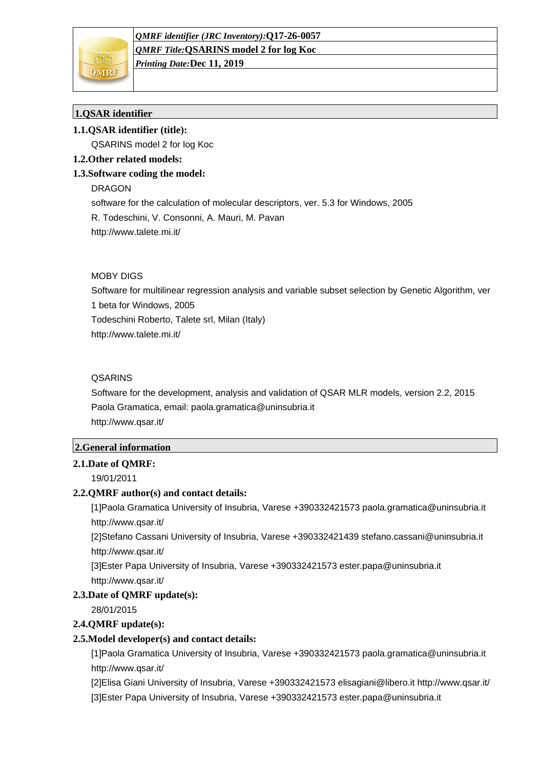

*Printing Date:***Dec 11, 2019**

## **1.QSAR identifier**

## **1.1.QSAR identifier (title):**

QSARINS model 2 for log Koc

## **1.2.Other related models:**

## **1.3.Software coding the model:**

DRAGON

software for the calculation of molecular descriptors, ver. 5.3 for Windows, 2005

R. Todeschini, V. Consonni, A. Mauri, M. Pavan

http://www.talete.mi.it/

#### MOBY DIGS

Software for multilinear regression analysis and variable subset selection by Genetic Algorithm, ver 1 beta for Windows, 2005 Todeschini Roberto, Talete srl, Milan (Italy) http://www.talete.mi.it/

## **QSARINS**

Software for the development, analysis and validation of QSAR MLR models, version 2.2, 2015 Paola Gramatica, email: paola.gramatica@uninsubria.it http://www.qsar.it/

## **2.General information**

## **2.1.Date of QMRF:**

19/01/2011

## **2.2.QMRF author(s) and contact details:**

[1]Paola Gramatica University of Insubria, Varese +390332421573 paola.gramatica@uninsubria.it http://www.qsar.it/

[2]Stefano Cassani University of Insubria, Varese +390332421439 stefano.cassani@uninsubria.it http://www.qsar.it/

[3]Ester Papa University of Insubria, Varese +390332421573 ester.papa@uninsubria.it http://www.qsar.it/

#### **2.3.Date of QMRF update(s):**

28/01/2015

## **2.4.QMRF update(s):**

## **2.5.Model developer(s) and contact details:**

[1]Paola Gramatica University of Insubria, Varese +390332421573 paola.gramatica@uninsubria.it http://www.qsar.it/

[2]Elisa Giani University of Insubria, Varese +390332421573 elisagiani@libero.it http://www.qsar.it/ [3]Ester Papa University of Insubria, Varese +390332421573 ester.papa@uninsubria.it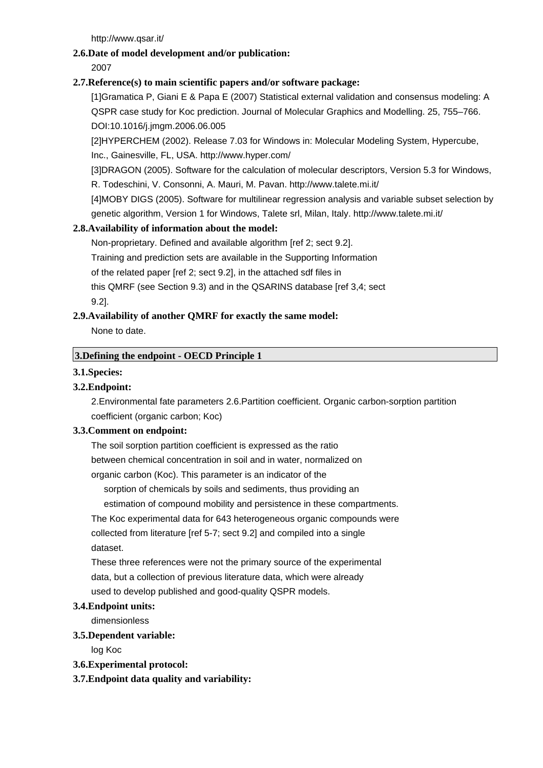http://www.qsar.it/

## **2.6.Date of model development and/or publication:**

2007

## **2.7.Reference(s) to main scientific papers and/or software package:**

[1]Gramatica P, Giani E & Papa E (2007) Statistical external validation and consensus modeling: A QSPR case study for Koc prediction. Journal of Molecular Graphics and Modelling. 25, 755–766. DOI:10.1016/j.jmgm.2006.06.005

[2]HYPERCHEM (2002). Release 7.03 for Windows in: Molecular Modeling System, Hypercube, Inc., Gainesville, FL, USA. http://www.hyper.com/

[3]DRAGON (2005). Software for the calculation of molecular descriptors, Version 5.3 for Windows,

R. Todeschini, V. Consonni, A. Mauri, M. Pavan. http://www.talete.mi.it/

[4]MOBY DIGS (2005). Software for multilinear regression analysis and variable subset selection by genetic algorithm, Version 1 for Windows, Talete srl, Milan, Italy. http://www.talete.mi.it/

## **2.8.Availability of information about the model:**

Non-proprietary. Defined and available algorithm [ref 2; sect 9.2].

Training and prediction sets are available in the Supporting Information

of the related paper [ref 2; sect 9.2], in the attached sdf files in

this QMRF (see Section 9.3) and in the QSARINS database [ref 3,4; sect 9.2].

## **2.9.Availability of another QMRF for exactly the same model:**

None to date.

## **3.Defining the endpoint - OECD Principle 1**

## **3.1.Species:**

## **3.2.Endpoint:**

2.Environmental fate parameters 2.6.Partition coefficient. Organic carbon-sorption partition coefficient (organic carbon; Koc)

## **3.3.Comment on endpoint:**

The soil sorption partition coefficient is expressed as the ratio between chemical concentration in soil and in water, normalized on organic carbon (Koc). This parameter is an indicator of the sorption of chemicals by soils and sediments, thus providing an

estimation of compound mobility and persistence in these compartments.

The Koc experimental data for 643 heterogeneous organic compounds were

collected from literature [ref 5-7; sect 9.2] and compiled into a single dataset.

These three references were not the primary source of the experimental data, but a collection of previous literature data, which were already used to develop published and good-quality QSPR models.

## **3.4.Endpoint units:**

dimensionless

## **3.5.Dependent variable:**

log Koc

- **3.6.Experimental protocol:**
- **3.7.Endpoint data quality and variability:**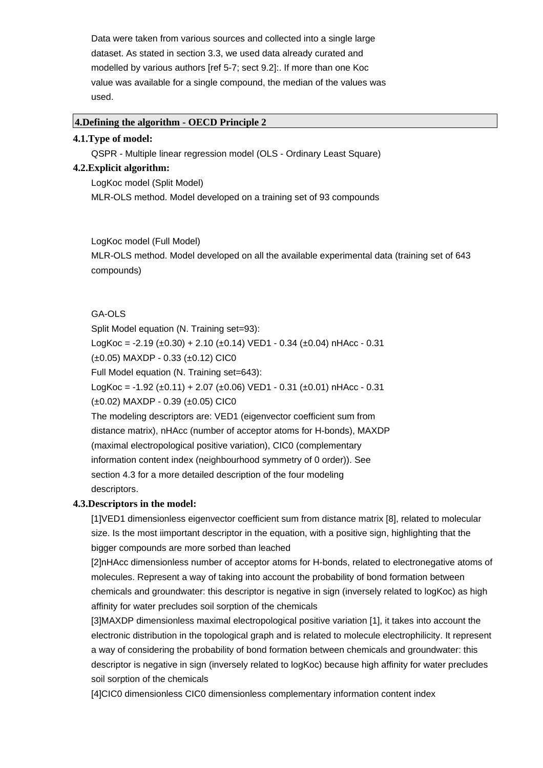Data were taken from various sources and collected into a single large dataset. As stated in section 3.3, we used data already curated and modelled by various authors [ref 5-7; sect 9.2]:. If more than one Koc value was available for a single compound, the median of the values was used.

#### **4.Defining the algorithm - OECD Principle 2**

#### **4.1.Type of model:**

QSPR - Multiple linear regression model (OLS - Ordinary Least Square)

#### **4.2.Explicit algorithm:**

LogKoc model (Split Model)

MLR-OLS method. Model developed on a training set of 93 compounds

LogKoc model (Full Model)

MLR-OLS method. Model developed on all the available experimental data (training set of 643 compounds)

#### GA-OLS

Split Model equation (N. Training set=93): LogKoc = -2.19 ( $\pm$ 0.30) + 2.10 ( $\pm$ 0.14) VED1 - 0.34 ( $\pm$ 0.04) nHAcc - 0.31 (±0.05) MAXDP - 0.33 (±0.12) CIC0 Full Model equation (N. Training set=643): LogKoc =  $-1.92$  ( $\pm 0.11$ ) + 2.07 ( $\pm 0.06$ ) VED1  $- 0.31$  ( $\pm 0.01$ ) nHAcc  $- 0.31$ (±0.02) MAXDP - 0.39 (±0.05) CIC0 The modeling descriptors are: VED1 (eigenvector coefficient sum from distance matrix), nHAcc (number of acceptor atoms for H-bonds), MAXDP (maximal electropological positive variation), CIC0 (complementary information content index (neighbourhood symmetry of 0 order)). See

section 4.3 for a more detailed description of the four modeling descriptors.

#### **4.3.Descriptors in the model:**

[1]VED1 dimensionless eigenvector coefficient sum from distance matrix [8], related to molecular size. Is the most iimportant descriptor in the equation, with a positive sign, highlighting that the bigger compounds are more sorbed than leached

[2]nHAcc dimensionless number of acceptor atoms for H-bonds, related to electronegative atoms of molecules. Represent a way of taking into account the probability of bond formation between chemicals and groundwater: this descriptor is negative in sign (inversely related to logKoc) as high affinity for water precludes soil sorption of the chemicals

[3]MAXDP dimensionless maximal electropological positive variation [1], it takes into account the electronic distribution in the topological graph and is related to molecule electrophilicity. It represent a way of considering the probability of bond formation between chemicals and groundwater: this descriptor is negative in sign (inversely related to logKoc) because high affinity for water precludes soil sorption of the chemicals

[4]CIC0 dimensionless CIC0 dimensionless complementary information content index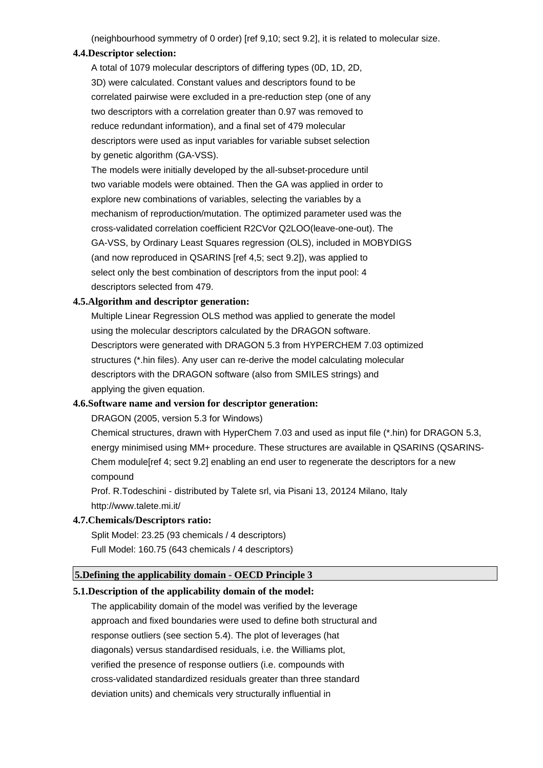(neighbourhood symmetry of 0 order) [ref 9,10; sect 9.2], it is related to molecular size.

#### **4.4.Descriptor selection:**

A total of 1079 molecular descriptors of differing types (0D, 1D, 2D, 3D) were calculated. Constant values and descriptors found to be correlated pairwise were excluded in a pre-reduction step (one of any two descriptors with a correlation greater than 0.97 was removed to reduce redundant information), and a final set of 479 molecular descriptors were used as input variables for variable subset selection by genetic algorithm (GA-VSS).

The models were initially developed by the all-subset-procedure until two variable models were obtained. Then the GA was applied in order to explore new combinations of variables, selecting the variables by a mechanism of reproduction/mutation. The optimized parameter used was the cross-validated correlation coefficient R2CVor Q2LOO(leave-one-out). The GA-VSS, by Ordinary Least Squares regression (OLS), included in MOBYDIGS (and now reproduced in QSARINS [ref 4,5; sect 9.2]), was applied to select only the best combination of descriptors from the input pool: 4 descriptors selected from 479.

#### **4.5.Algorithm and descriptor generation:**

Multiple Linear Regression OLS method was applied to generate the model using the molecular descriptors calculated by the DRAGON software. Descriptors were generated with DRAGON 5.3 from HYPERCHEM 7.03 optimized structures (\*.hin files). Any user can re-derive the model calculating molecular descriptors with the DRAGON software (also from SMILES strings) and applying the given equation.

## **4.6.Software name and version for descriptor generation:**

DRAGON (2005, version 5.3 for Windows)

Chemical structures, drawn with HyperChem 7.03 and used as input file (\*.hin) for DRAGON 5.3, energy minimised using MM+ procedure. These structures are available in QSARINS (QSARINS-Chem module[ref 4; sect 9.2] enabling an end user to regenerate the descriptors for a new compound

Prof. R.Todeschini - distributed by Talete srl, via Pisani 13, 20124 Milano, Italy http://www.talete.mi.it/

#### **4.7.Chemicals/Descriptors ratio:**

Split Model: 23.25 (93 chemicals / 4 descriptors) Full Model: 160.75 (643 chemicals / 4 descriptors)

#### **5.Defining the applicability domain - OECD Principle 3**

#### **5.1.Description of the applicability domain of the model:**

The applicability domain of the model was verified by the leverage approach and fixed boundaries were used to define both structural and response outliers (see section 5.4). The plot of leverages (hat diagonals) versus standardised residuals, i.e. the Williams plot, verified the presence of response outliers (i.e. compounds with cross-validated standardized residuals greater than three standard deviation units) and chemicals very structurally influential in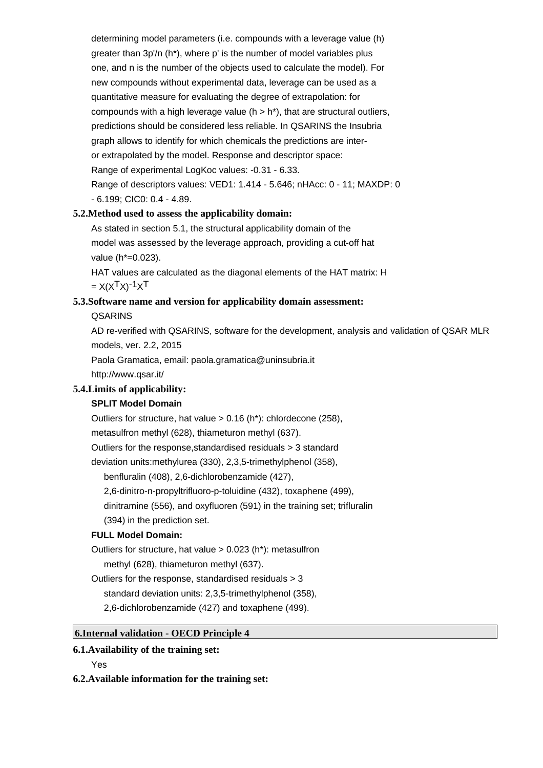determining model parameters (i.e. compounds with a leverage value (h) greater than 3p'/n (h\*), where p' is the number of model variables plus one, and n is the number of the objects used to calculate the model). For new compounds without experimental data, leverage can be used as a quantitative measure for evaluating the degree of extrapolation: for compounds with a high leverage value ( $h > h^*$ ), that are structural outliers, predictions should be considered less reliable. In QSARINS the Insubria graph allows to identify for which chemicals the predictions are interor extrapolated by the model. Response and descriptor space: Range of experimental LogKoc values: -0.31 - 6.33. Range of descriptors values: VED1: 1.414 - 5.646; nHAcc: 0 - 11; MAXDP: 0 - 6.199; CIC0: 0.4 - 4.89.

#### **5.2.Method used to assess the applicability domain:**

As stated in section 5.1, the structural applicability domain of the model was assessed by the leverage approach, providing a cut-off hat value (h\*=0.023).

HAT values are calculated as the diagonal elements of the HAT matrix: H  $= X(X^{T}X)^{-1}X^{T}$ 

# **5.3.Software name and version for applicability domain assessment:**

**QSARINS** 

AD re-verified with QSARINS, software for the development, analysis and validation of QSAR MLR models, ver. 2.2, 2015

Paola Gramatica, email: paola.gramatica@uninsubria.it

http://www.qsar.it/

## **5.4.Limits of applicability:**

## **SPLIT Model Domain**

Outliers for structure, hat value > 0.16 (h\*): chlordecone (258),

metasulfron methyl (628), thiameturon methyl (637).

Outliers for the response,standardised residuals > 3 standard

deviation units:methylurea (330), 2,3,5-trimethylphenol (358),

benfluralin (408), 2,6-dichlorobenzamide (427),

2,6-dinitro-n-propyltrifluoro-p-toluidine (432), toxaphene (499),

dinitramine (556), and oxyfluoren (591) in the training set; trifluralin

(394) in the prediction set.

## **FULL Model Domain:**

Outliers for structure, hat value > 0.023 (h\*): metasulfron methyl (628), thiameturon methyl (637).

Outliers for the response, standardised residuals > 3

standard deviation units: 2,3,5-trimethylphenol (358),

2,6-dichlorobenzamide (427) and toxaphene (499).

## **6.Internal validation - OECD Principle 4**

## **6.1.Availability of the training set:**

Yes

**6.2.Available information for the training set:**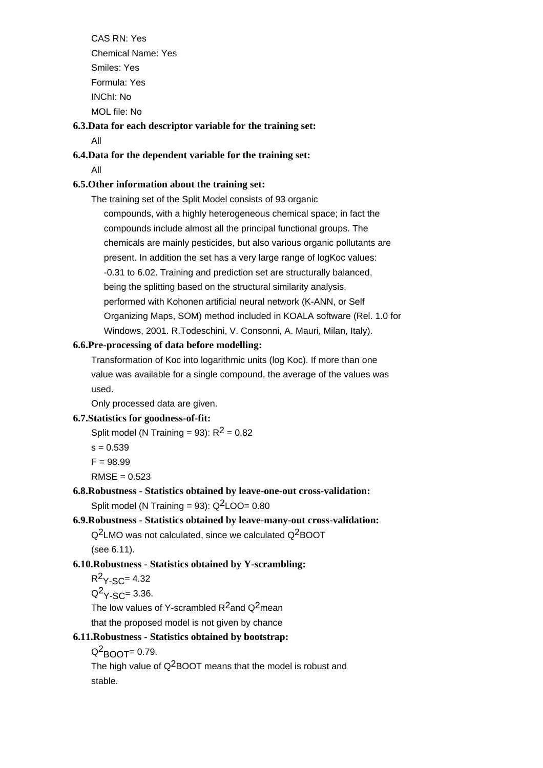CAS RN: Yes Chemical Name: Yes Smiles: Yes Formula: Yes INChI: No MOL file: No

## **6.3.Data for each descriptor variable for the training set:** All

## **6.4.Data for the dependent variable for the training set:** All

## **6.5.Other information about the training set:**

The training set of the Split Model consists of 93 organic compounds, with a highly heterogeneous chemical space; in fact the compounds include almost all the principal functional groups. The chemicals are mainly pesticides, but also various organic pollutants are present. In addition the set has a very large range of logKoc values: -0.31 to 6.02. Training and prediction set are structurally balanced, being the splitting based on the structural similarity analysis, performed with Kohonen artificial neural network (K-ANN, or Self Organizing Maps, SOM) method included in KOALA software (Rel. 1.0 for Windows, 2001. R.Todeschini, V. Consonni, A. Mauri, Milan, Italy).

#### **6.6.Pre-processing of data before modelling:**

Transformation of Koc into logarithmic units (log Koc). If more than one value was available for a single compound, the average of the values was used.

Only processed data are given.

#### **6.7.Statistics for goodness-of-fit:**

Split model (N Training = 93):  $R^2$  = 0.82

- $s = 0.539$
- $F = 98.99$

 $RMSE = 0.523$ 

**6.8.Robustness - Statistics obtained by leave-one-out cross-validation:** Split model (N Training =  $93$ ):  $Q^2$ LOO= 0.80

#### **6.9.Robustness - Statistics obtained by leave-many-out cross-validation:**

Q2LMO was not calculated, since we calculated Q2BOOT (see 6.11).

## **6.10.Robustness - Statistics obtained by Y-scrambling:**

```
R^2Y-SC= 4.32
```
 $Q^2$  $Y$ -SC= 3.36.

The low values of Y-scrambled  $R^2$ and Q<sup>2</sup>mean

that the proposed model is not given by chance

#### **6.11.Robustness - Statistics obtained by bootstrap:**

Q<sup>2</sup>воот= 0.79.

The high value of Q<sup>2</sup>BOOT means that the model is robust and stable.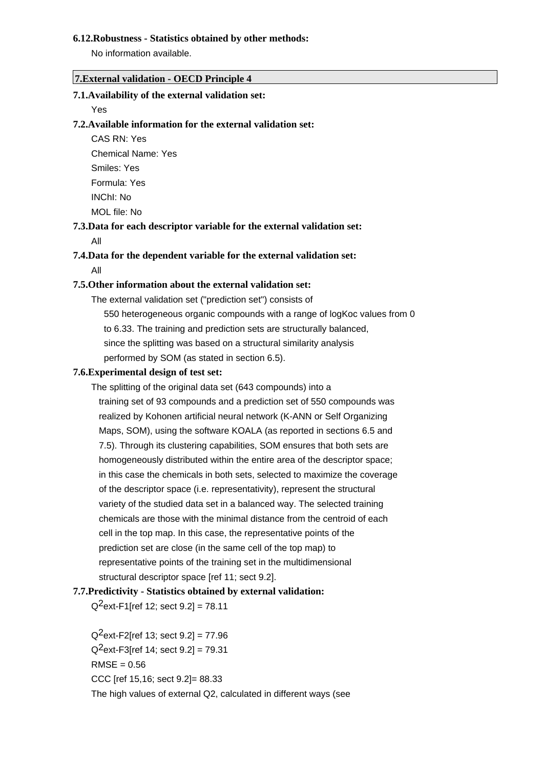#### **6.12.Robustness - Statistics obtained by other methods:**

No information available.

#### **7.External validation - OECD Principle 4**

## **7.1.Availability of the external validation set:**

#### Yes

## **7.2.Available information for the external validation set:**

CAS RN: Yes Chemical Name: Yes Smiles: Yes Formula: Yes INChI: No MOL file: No

# **7.3.Data for each descriptor variable for the external validation set:**

#### All

## **7.4.Data for the dependent variable for the external validation set:** All

#### **7.5.Other information about the external validation set:**

The external validation set ("prediction set") consists of 550 heterogeneous organic compounds with a range of logKoc values from 0 to 6.33. The training and prediction sets are structurally balanced, since the splitting was based on a structural similarity analysis performed by SOM (as stated in section 6.5).

#### **7.6.Experimental design of test set:**

The splitting of the original data set (643 compounds) into a training set of 93 compounds and a prediction set of 550 compounds was realized by Kohonen artificial neural network (K-ANN or Self Organizing Maps, SOM), using the software KOALA (as reported in sections 6.5 and 7.5). Through its clustering capabilities, SOM ensures that both sets are homogeneously distributed within the entire area of the descriptor space; in this case the chemicals in both sets, selected to maximize the coverage of the descriptor space (i.e. representativity), represent the structural variety of the studied data set in a balanced way. The selected training chemicals are those with the minimal distance from the centroid of each cell in the top map. In this case, the representative points of the prediction set are close (in the same cell of the top map) to representative points of the training set in the multidimensional structural descriptor space [ref 11; sect 9.2].

#### **7.7.Predictivity - Statistics obtained by external validation:**

 $Q^2$ ext-F1[ref 12; sect 9.2] = 78.11

 $Q^2$ ext-F2[ref 13; sect 9.2] = 77.96  $Q^2$ ext-F3[ref 14; sect 9.2] = 79.31  $RMSE = 0.56$ CCC [ref 15,16; sect 9.2]= 88.33 The high values of external Q2, calculated in different ways (see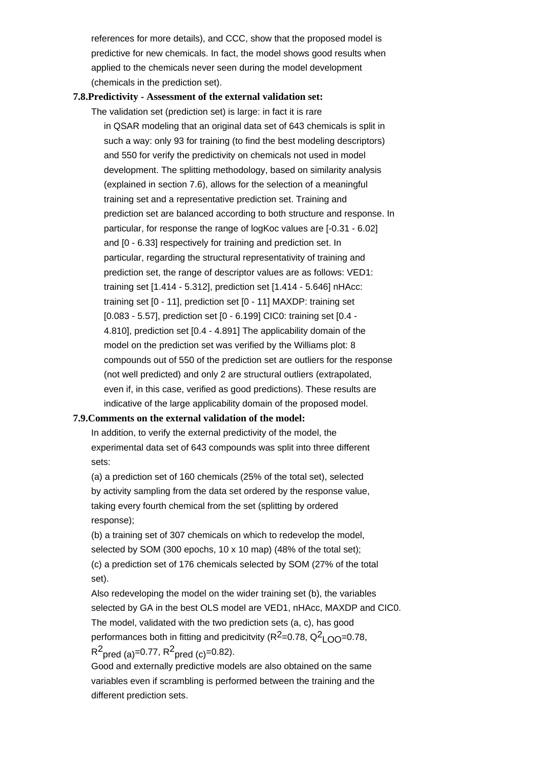references for more details), and CCC, show that the proposed model is predictive for new chemicals. In fact, the model shows good results when applied to the chemicals never seen during the model development (chemicals in the prediction set).

#### **7.8.Predictivity - Assessment of the external validation set:**

The validation set (prediction set) is large: in fact it is rare in QSAR modeling that an original data set of 643 chemicals is split in such a way: only 93 for training (to find the best modeling descriptors) and 550 for verify the predictivity on chemicals not used in model development. The splitting methodology, based on similarity analysis (explained in section 7.6), allows for the selection of a meaningful training set and a representative prediction set. Training and prediction set are balanced according to both structure and response. In particular, for response the range of logKoc values are [-0.31 - 6.02] and [0 - 6.33] respectively for training and prediction set. In particular, regarding the structural representativity of training and prediction set, the range of descriptor values are as follows: VED1: training set [1.414 - 5.312], prediction set [1.414 - 5.646] nHAcc: training set [0 - 11], prediction set [0 - 11] MAXDP: training set [0.083 - 5.57], prediction set [0 - 6.199] CIC0: training set [0.4 - 4.810], prediction set [0.4 - 4.891] The applicability domain of the model on the prediction set was verified by the Williams plot: 8 compounds out of 550 of the prediction set are outliers for the response (not well predicted) and only 2 are structural outliers (extrapolated, even if, in this case, verified as good predictions). These results are indicative of the large applicability domain of the proposed model.

#### **7.9.Comments on the external validation of the model:**

In addition, to verify the external predictivity of the model, the experimental data set of 643 compounds was split into three different sets:

(a) a prediction set of 160 chemicals (25% of the total set), selected by activity sampling from the data set ordered by the response value, taking every fourth chemical from the set (splitting by ordered response);

(b) a training set of 307 chemicals on which to redevelop the model, selected by SOM (300 epochs, 10 x 10 map) (48% of the total set); (c) a prediction set of 176 chemicals selected by SOM (27% of the total set).

Also redeveloping the model on the wider training set (b), the variables selected by GA in the best OLS model are VED1, nHAcc, MAXDP and CIC0. The model, validated with the two prediction sets (a, c), has good performances both in fitting and predicitvity (R<sup>2</sup>=0.78, Q<sup>2</sup>LOO=0.78,  $R^2$ <sub>pred (a)</sub>=0.77,  $R^2$ <sub>pred (c)</sub>=0.82).

Good and externally predictive models are also obtained on the same variables even if scrambling is performed between the training and the different prediction sets.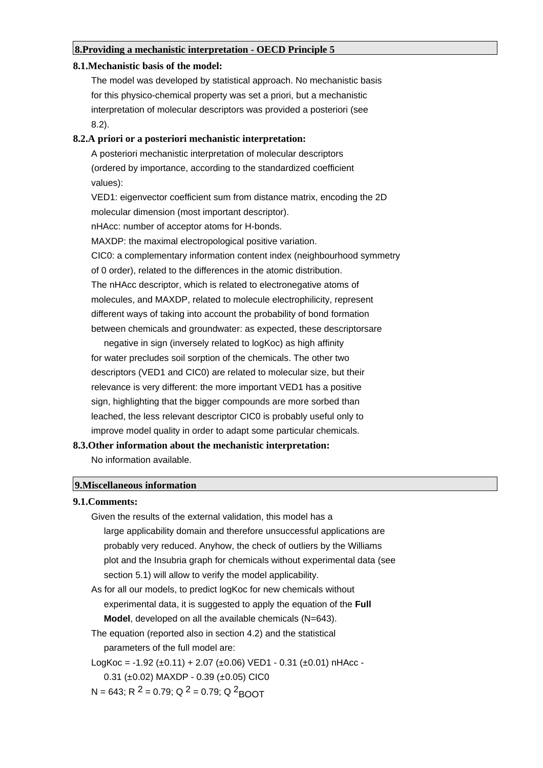#### **8.Providing a mechanistic interpretation - OECD Principle 5**

#### **8.1.Mechanistic basis of the model:**

The model was developed by statistical approach. No mechanistic basis for this physico-chemical property was set a priori, but a mechanistic interpretation of molecular descriptors was provided a posteriori (see 8.2).

#### **8.2.A priori or a posteriori mechanistic interpretation:**

A posteriori mechanistic interpretation of molecular descriptors (ordered by importance, according to the standardized coefficient values): VED1: eigenvector coefficient sum from distance matrix, encoding the 2D molecular dimension (most important descriptor). nHAcc: number of acceptor atoms for H-bonds. MAXDP: the maximal electropological positive variation. CIC0: a complementary information content index (neighbourhood symmetry of 0 order), related to the differences in the atomic distribution. The nHAcc descriptor, which is related to electronegative atoms of molecules, and MAXDP, related to molecule electrophilicity, represent different ways of taking into account the probability of bond formation between chemicals and groundwater: as expected, these descriptorsare

 negative in sign (inversely related to logKoc) as high affinity for water precludes soil sorption of the chemicals. The other two descriptors (VED1 and CIC0) are related to molecular size, but their relevance is very different: the more important VED1 has a positive sign, highlighting that the bigger compounds are more sorbed than leached, the less relevant descriptor CIC0 is probably useful only to improve model quality in order to adapt some particular chemicals.

## **8.3.Other information about the mechanistic interpretation:**

No information available.

#### **9.Miscellaneous information**

#### **9.1.Comments:**

- Given the results of the external validation, this model has a large applicability domain and therefore unsuccessful applications are probably very reduced. Anyhow, the check of outliers by the Williams plot and the Insubria graph for chemicals without experimental data (see section 5.1) will allow to verify the model applicability. As for all our models, to predict logKoc for new chemicals without
- experimental data, it is suggested to apply the equation of the **Full Model**, developed on all the available chemicals (N=643).
- The equation (reported also in section 4.2) and the statistical parameters of the full model are:

LogKoc = -1.92 (±0.11) + 2.07 (±0.06) VED1 - 0.31 (±0.01) nHAcc -

0.31 ( $\pm$ 0.02) MAXDP - 0.39 ( $\pm$ 0.05) CIC0

N = 643; R <sup>2</sup> = 0.79; Q <sup>2</sup> = 0.79; Q <sup>2</sup> BOOT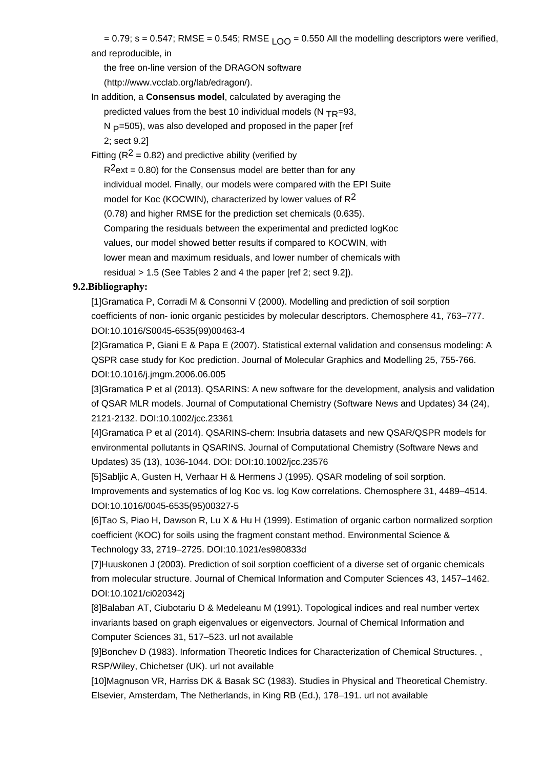= 0.79; s = 0.547; RMSE = 0.545; RMSE  $\overline{LO}$  = 0.550 All the modelling descriptors were verified, and reproducible, in

the free on-line version of the DRAGON software

(http://www.vcclab.org/lab/edragon/).

In addition, a **Consensus model**, calculated by averaging the predicted values from the best 10 individual models (N  $_{TR}=93$ ,  $N = 505$ ), was also developed and proposed in the paper [ref 2; sect 9.2]

Fitting ( $R^2$  = 0.82) and predictive ability (verified by

 $R^2$ ext = 0.80) for the Consensus model are better than for any individual model. Finally, our models were compared with the EPI Suite model for Koc (KOCWIN), characterized by lower values of  $R^2$  (0.78) and higher RMSE for the prediction set chemicals (0.635). Comparing the residuals between the experimental and predicted logKoc values, our model showed better results if compared to KOCWIN, with lower mean and maximum residuals, and lower number of chemicals with residual > 1.5 (See Tables 2 and 4 the paper [ref 2; sect 9.2]).

## **9.2.Bibliography:**

[1]Gramatica P, Corradi M & Consonni V (2000). Modelling and prediction of soil sorption coefficients of non- ionic organic pesticides by molecular descriptors. Chemosphere 41, 763–777. DOI:10.1016/S0045-6535(99)00463-4

[2]Gramatica P, Giani E & Papa E (2007). Statistical external validation and consensus modeling: A QSPR case study for Koc prediction. Journal of Molecular Graphics and Modelling 25, 755-766. DOI:10.1016/j.jmgm.2006.06.005

[3]Gramatica P et al (2013). QSARINS: A new software for the development, analysis and validation of QSAR MLR models. Journal of Computational Chemistry (Software News and Updates) 34 (24), 2121-2132. DOI:10.1002/jcc.23361

[4]Gramatica P et al (2014). QSARINS-chem: Insubria datasets and new QSAR/QSPR models for environmental pollutants in QSARINS. Journal of Computational Chemistry (Software News and Updates) 35 (13), 1036-1044. DOI: DOI:10.1002/jcc.23576

[5]Sabljic A, Gusten H, Verhaar H & Hermens J (1995). QSAR modeling of soil sorption. Improvements and systematics of log Koc vs. log Kow correlations. Chemosphere 31, 4489–4514. DOI:10.1016/0045-6535(95)00327-5

[6]Tao S, Piao H, Dawson R, Lu X & Hu H (1999). Estimation of organic carbon normalized sorption coefficient (KOC) for soils using the fragment constant method. Environmental Science & Technology 33, 2719–2725. DOI:10.1021/es980833d

[7]Huuskonen J (2003). Prediction of soil sorption coefficient of a diverse set of organic chemicals from molecular structure. Journal of Chemical Information and Computer Sciences 43, 1457–1462. DOI:10.1021/ci020342j

[8]Balaban AT, Ciubotariu D & Medeleanu M (1991). Topological indices and real number vertex invariants based on graph eigenvalues or eigenvectors. Journal of Chemical Information and Computer Sciences 31, 517–523. url not available

[9]Bonchev D (1983). Information Theoretic Indices for Characterization of Chemical Structures. , RSP/Wiley, Chichetser (UK). url not available

[10]Magnuson VR, Harriss DK & Basak SC (1983). Studies in Physical and Theoretical Chemistry. Elsevier, Amsterdam, The Netherlands, in King RB (Ed.), 178–191. url not available